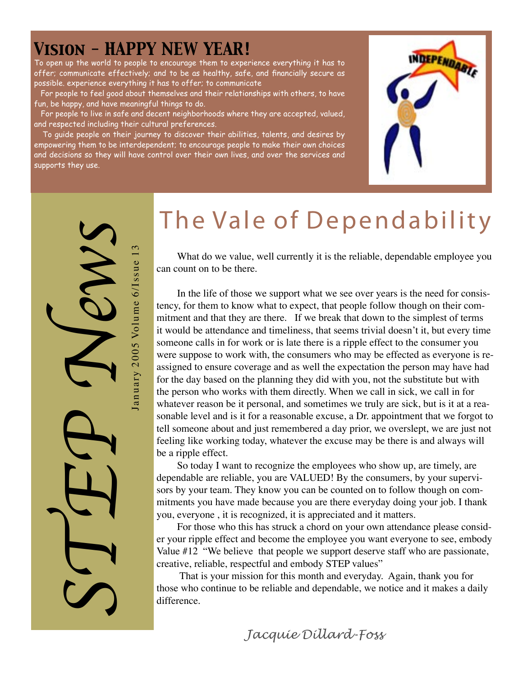### *Vision - HAPPY NEW YEAR!*

To open up the world to people to encourage them to experience everything it has to offer; communicate effectively; and to be as healthy, safe, and financially secure as possible. experience everything it has to offer; to communicate

For people to feel good about themselves and their relationships with others, to have fun, be happy, and have meaningful things to do.

 For people to live in safe and decent neighborhoods where they are accepted, valued, and respected including their cultural preferences.

 To guide people on their journey to discover their abilities, talents, and desires by empowering them to be interdependent; to encourage people to make their own choices and decisions so they will have control over their own lives, and over the services and supports they use.



STEP News January 2005 Volume 6/Issue 13 January 2005 Volume 6/Issue 13

## The Vale of Dependability

What do we value, well currently it is the reliable, dependable employee you can count on to be there.

In the life of those we support what we see over years is the need for consistency, for them to know what to expect, that people follow though on their commitment and that they are there. If we break that down to the simplest of terms it would be attendance and timeliness, that seems trivial doesn't it, but every time someone calls in for work or is late there is a ripple effect to the consumer you were suppose to work with, the consumers who may be effected as everyone is reassigned to ensure coverage and as well the expectation the person may have had for the day based on the planning they did with you, not the substitute but with the person who works with them directly. When we call in sick, we call in for whatever reason be it personal, and sometimes we truly are sick, but is it at a reasonable level and is it for a reasonable excuse, a Dr. appointment that we forgot to tell someone about and just remembered a day prior, we overslept, we are just not feeling like working today, whatever the excuse may be there is and always will be a ripple effect.

So today I want to recognize the employees who show up, are timely, are dependable are reliable, you are VALUED! By the consumers, by your supervisors by your team. They know you can be counted on to follow though on commitments you have made because you are there everyday doing your job. I thank you, everyone , it is recognized, it is appreciated and it matters.

For those who this has struck a chord on your own attendance please consider your ripple effect and become the employee you want everyone to see, embody Value #12 "We believe that people we support deserve staff who are passionate, creative, reliable, respectful and embody STEP values"

 That is your mission for this month and everyday. Again, thank you for those who continue to be reliable and dependable, we notice and it makes a daily difference.

 *Jacquie Dillard-Foss*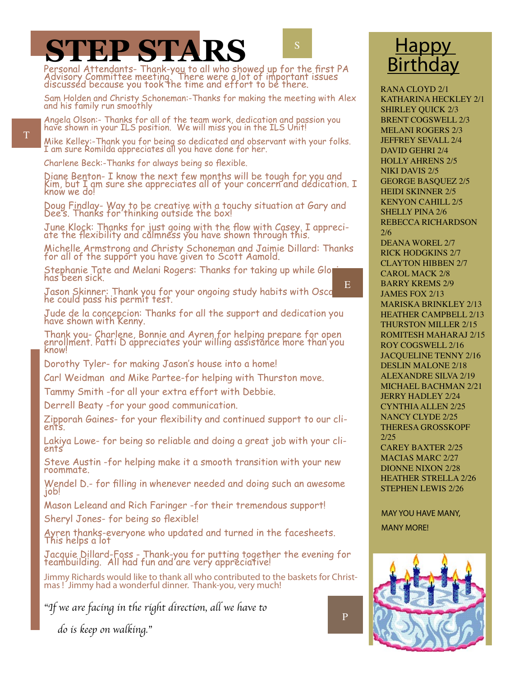## **STEP STAR**



Personal Attendants- Thank-you to all who showed up for the first PA Advisory Committee meeting. There were a lot of important issues discussed because you took the time and effort to be there.

Sam Holden and Christy Schoneman:-Thanks for making the meeting with Alex and his family run smoothly

Angela Olson:- Thanks for all of the team work, dedication and passion you have shown in your ILS position. We will miss you in the ILS Unit!

Mike Kelley:-Thank you for being so dedicated and observant with your folks. I am sure Romilda appreciates all you have done for her.

Charlene Beck:-Thanks for always being so flexible.

Diane Benton- I know the next few months will be tough for you and Kim, but I am sure she appreciates all of your concern and dedication. I know we do!

Doug Findlay- Way to be creative with a touchy situation at Gary and Dee's. Thanks for thinking outside the box!

June Klock: Thanks for just going with the flow with Casey. I appreci- ate the flexibility and calmness you have shown through this.

Michelle Armstrong and Christy Schoneman and Jaimie Dillard: Thanks for all of the support you have given to Scott Aamold.

Stephanie Tate and Melani Rogers: Thanks for taking up while Gloria has 'been sick.

Jason Skinner: Thank you for your ongoing study habits with Osca $\begin{array}{c} \rule{0pt}{1em} \text{---} \end{array}$ he could pass his permit test.

Jude de la concepcion: Thanks for all the support and dedication you have shown with Kenny.

Thank you- Charlene, Bonnie and Ayren for helping prepare for open enrollment. Patti D appreciates your willing assistance more than you know!

Dorothy Tyler- for making Jason's house into a home!

Carl Weidman and Mike Partee-for helping with Thurston move.

Tammy Smith -for all your extra effort with Debbie.

Derrell Beaty -for your good communication.

Zipporah Gaines- for your flexibility and continued support to our cli- ents.

Lakiya Lowe- for being so reliable and doing a great job with your cli-<br>ents

Steve Austin -for helping make it a smooth transition with your new roommate.

Wendel D.- for filling in whenever needed and doing such an awesome job!

Mason Leleand and Rich Faringer -for their tremendous support!

Sheryl Jones- for being so flexible!

Ayren thanks-everyone who updated and turned in the facesheets. This helps a lot

Jacquie Dillard-Foss - Thank-you for putting together the evening for teambuilding. All had fun and are very appreciative!

*Jimmy Richards would like to thank all who contributed to the baskets for Christ- mas ! Jimmy had a wonderful dinner. Thank-you, very much!*

"If we are facing in the right direction, all we have to

do is keep on walking."

### Happy **Birthday**

RANA CLOYD 2/1 KATHARINA HECKLEY 2/1 SHIRLEY QUICK 2/3 BRENT COGSWELL 2/3 MELANI ROGERS 2/3 JEFFREY SEVALL 2/4 DAVID GEHRI 2/4 HOLLY AHRENS 2/5 NIKI DAVIS 2/5 GEORGE BASQUEZ 2/5 HEIDI SKINNER 2/5 KENYON CAHILL 2/5 SHELLY PINA 2/6 REBECCA RICHARDSON 2/6 DEANA WOREL 2/7 RICK HODGKINS 2/7 CLAYTON HIBBEN 2/7 CAROL MACK 2/8 BARRY KREMS 2/9 JAMES FOX 2/13 MARISKA BRINKLEY 2/13 HEATHER CAMPBELL 2/13 THURSTON MILLER 2/15 ROMITESH MAHARAJ 2/15 ROY COGSWELL 2/16 JACQUELINE TENNY 2/16 DESLIN MALONE 2/18 ALEXANDRE SILVA 2/19 MICHAEL BACHMAN 2/21 JERRY HADLEY 2/24 CYNTHIA ALLEN 2/25 NANCY CLYDE 2/25 THERESA GROSSKOPF 2/25 CAREY BAXTER 2/25

MACIAS MARC 2/27 DIONNE NIXON 2/28 HEATHER STRELLA 2/26 STEPHEN LEWIS 2/26

**MAY YOU HAVE MANY, MANY MORE!**



E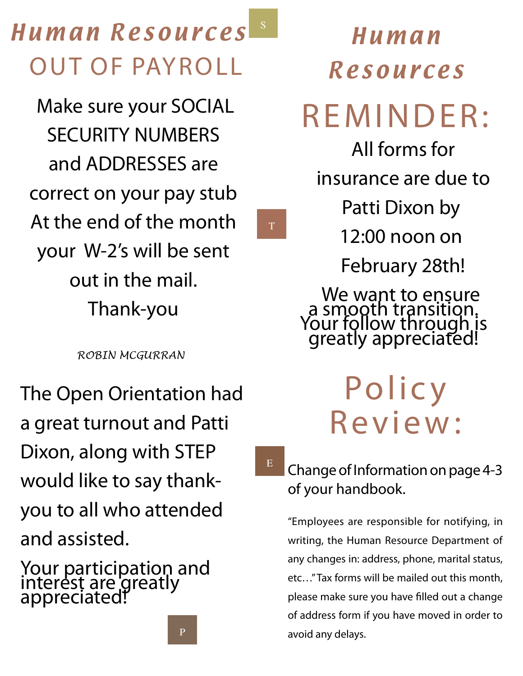### S Human Resources **OUT OF PAYROLL**

 *Make sure your SOCIAL SECURITY NUMBERS and ADDRESSES are correct on your pay stub At the end of the month your W-2's will be sent out in the mail. Thank-you*

*ROBIN MCGURRAN*

*The Open Orientation had a great turnout and Patti Dixon, along with STEP would like to say thankyou to all who attended and assisted.* 

*Your participation and interest are greatly appreciated!*

Human Resources

# REMINDER:

 *All forms for insurance are due to Patti Dixon by 12:00 noon on February 28th!* 

T

E

*We want to ensure a smooth transition. Your follow through is greatly appreciated!*

Policy Review:

### *Change of Information on page 4-3 of your handbook.*

*"Employees are responsible for notifying, in writing, the Human Resource Department of any changes in: address, phone, marital status, etc…" Tax forms will be mailed out this month, please make sure you have filled out a change of address form if you have moved in order to avoid any delays.*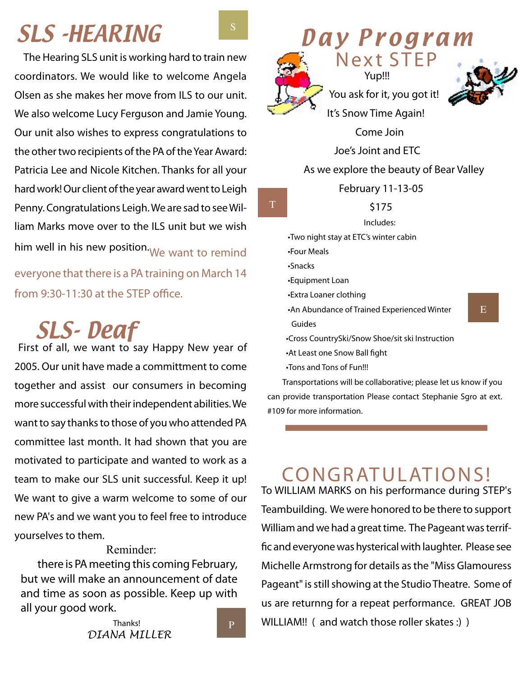## SLS-HEARING SALS Day Program

 *The Hearing SLS unit is working hard to train new coordinators. We would like to welcome Angela Olsen as she makes her move from ILS to our unit. We also welcome Lucy Ferguson and Jamie Young. Our unit also wishes to express congratulations to the other two recipients of the PA of the Year Award: Patricia Lee and Nicole Kitchen. Thanks for all your hard work! Our client of the year award went to Leigh Penny. Congratulations Leigh. We are sad to see William Marks move over to the ILS unit but we wish him well in his new position.*We want to remind everyone that there is a PA training on March 14 from 9:30-11:30 at the STEP office.

## SLS- Deaf

 *First of all, we want to say Happy New year of 2005. Our unit have made a committment to come together and assist our consumers in becoming more successful with their independent abilities. We want to say thanks to those of you who attended PA committee last month. It had shown that you are motivated to participate and wanted to work as a team to make our SLS unit successful. Keep it up! We want to give a warm welcome to some of our new PA's and we want you to feel free to introduce yourselves to them.* 

#### Reminder:

 **there is PA meeting this coming February, but we will make an announcement of date and time as soon as possible. Keep up with all your good work.** 

> **Thanks!** *DIANA MILLER*

P



S

T

Next STEP

 *Yup!!! You ask for it, you got it! It's Snow Time Again!*



 *Come Join Joe's Joint and ETC As we explore the beauty of Bear Valley February 11-13-05 \$175*  **Includes: •Two night stay at ETC's winter cabin**

 **•Four Meals •Snacks •Equipment Loan •Extra Loaner clothing •An Abundance of Trained Experienced Winter Guides •Cross CountrySki/Snow Shoe/sit ski Instruction •At Least one Snow Ball fight •Tons and Tons of Fun!!!**

**Transportations will be collaborative; please let us know if you can provide transportation Please contact Stephanie Sgro at ext. #109 for more information.**

## CONGRATULATIONS!

*To WILLIAM MARKS on his performance during STEP's Teambuilding. We were honored to be there to support William and we had a great time. The Pageant was terriffic and everyone was hysterical with laughter. Please see Michelle Armstrong for details as the "Miss Glamouress Pageant" is still showing at the Studio Theatre. Some of us are returnng for a repeat performance. GREAT JOB WILLIAM!! ( and watch those roller skates :) )*

E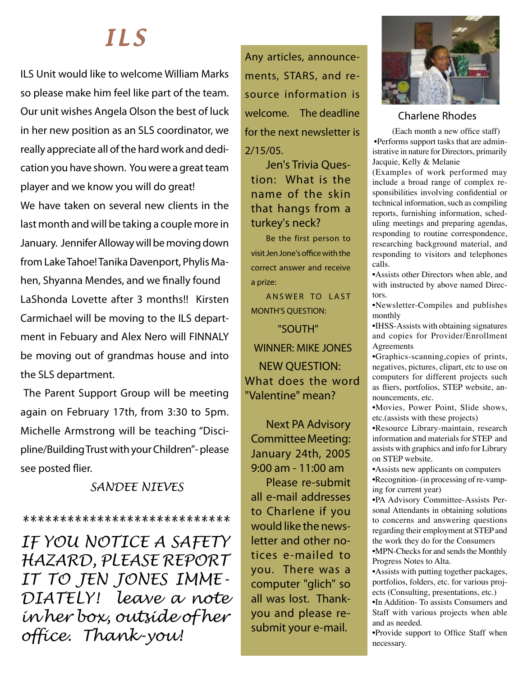## I L S

*ILS Unit would like to welcome William Marks so please make him feel like part of the team. Our unit wishes Angela Olson the best of luck in her new position as an SLS coordinator, we really appreciate all of the hard work and dedication you have shown. You were a great team player and we know you will do great! We have taken on several new clients in the last month and will be taking a couple more in January. Jennifer Alloway will be moving down from Lake Tahoe! Tanika Davenport, Phylis Mahen, Shyanna Mendes, and we finally found LaShonda Lovette after 3 months!! Kirsten Carmichael will be moving to the ILS department in Febuary and Alex Nero will FINNALY be moving out of grandmas house and into the SLS department.*

 *The Parent Support Group will be meeting again on February 17th, from 3:30 to 5pm. Michelle Armstrong will be teaching "Discipline/Building Trust with your Children"- please see posted flier.*

#### *SANDEE NIEVES*

#### *\*\*\*\*\*\*\*\*\*\*\*\*\*\*\*\*\*\*\*\*\*\*\*\*\*\*\*\**

*IF YOU NOTICE A SAFETY HAZARD, PLEASE REPORT IT TO JEN JONES IMME-DIATELY! leave a note in her box, outside of her office. Thank-you!*

*Any articles, announcements, STARS, and resource information is welcome. The deadline for the next newsletter is 2/15/05.*

**Jen's Trivia Question: What is the name of the skin that hangs from a turkey's neck?**

**Be the first person to visit Jen Jone's office with the correct answer and receive a prize:** 

**ANSWER TO LAST MONTH'S QUESTION:** 

 *"SOUTH"* 

 *WINNER: MIKE JONES*

**NEW QUESTION: What does the word "Valentine" mean?**

**Next PA Advisory Committee Meeting: January 24th, 2005 9:00 am - 11:00 am**

**Please re-submit all e-mail addresses to Charlene if you would like the newsletter and other notices e-mailed to you. There was a computer "glich" so all was lost. Thankyou and please resubmit your e-mail.**



#### *Charlene Rhodes*

(Each month a new office staff) •Performs support tasks that are administrative in nature for Directors, primarily Jacquie, Kelly & Melanie

(Examples of work performed may include a broad range of complex responsibilities involving confidential or technical information, such as compiling reports, furnishing information, scheduling meetings and preparing agendas, responding to routine correspondence, researching background material, and responding to visitors and telephones calls.

•Assists other Directors when able, and with instructed by above named Directors.

•Newsletter-Compiles and publishes monthly

•IHSS-Assists with obtaining signatures and copies for Provider/Enrollment Agreements

•Graphics-scanning,copies of prints, negatives, pictures, clipart, etc to use on computers for different projects such as fliers, portfolios, STEP website, announcements, etc.

•Movies, Power Point, Slide shows, etc.(assists with these projects)

•Resource Library-maintain, research information and materials for STEP and assists with graphics and info for Library on STEP website.

•Assists new applicants on computers •Recognition- (in processing of re-vamp-

ing for current year) •PA Advisory Committee-Assists Personal Attendants in obtaining solutions to concerns and answering questions regarding their employment at STEP and the work they do for the Consumers

•MPN-Checks for and sends the Monthly Progress Notes to Alta.

•Assists with putting together packages, portfolios, folders, etc. for various projects (Consulting, presentations, etc.)

•In Addition- To assists Consumers and Staff with various projects when able and as needed.

•Provide support to Office Staff when necessary.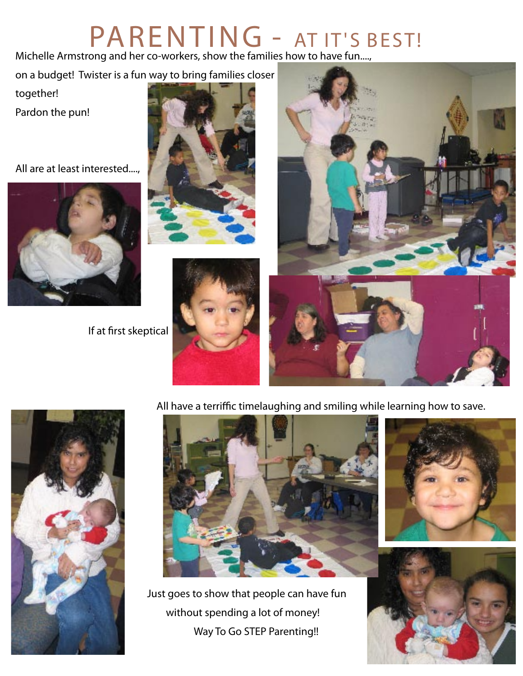# PARENTING - AT IT'S BEST!

*Michelle Armstrong and her co-workers, show the families how to have fun....,*

*on a budget! Twister is a fun way to bring families closer* 

*together!*

*Pardon the pun!*

*All are at least interested....,*



 *If at first skeptical*









 *All have a terriffic timelaughing and smiling while learning how to save.*



 *Just goes to show that people can have fun without spending a lot of money! Way To Go STEP Parenting!!*



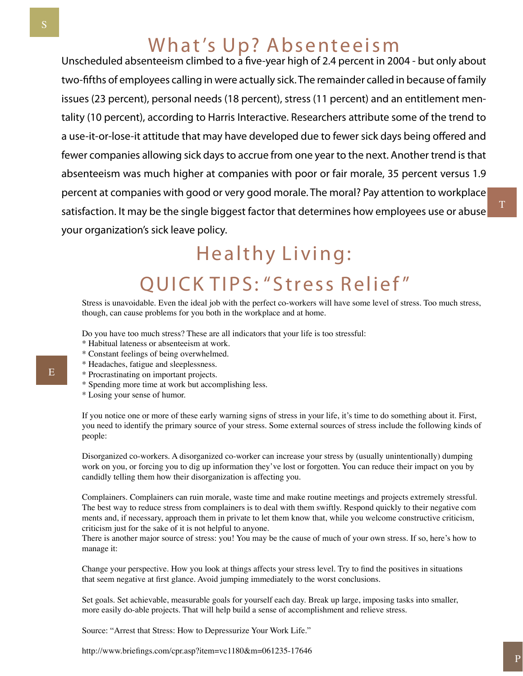### What's Up? Absenteeism

*Unscheduled absenteeism climbed to a five-year high of 2.4 percent in 2004 - but only about two-fifths of employees calling in were actually sick. The remainder called in because of family issues (23 percent), personal needs (18 percent), stress (11 percent) and an entitlement mentality (10 percent), according to Harris Interactive. Researchers attribute some of the trend to a use-it-or-lose-it attitude that may have developed due to fewer sick days being offered and*  fewer companies allowing sick days to accrue from one year to the next. Another trend is that *absenteeism was much higher at companies with poor or fair morale, 35 percent versus 1.9 percent at companies with good or very good morale. The moral? Pay attention to workplace satisfaction. It may be the single biggest factor that determines how employees use or abuse your organization's sick leave policy.*

## Healthy Living:

## QUICK TIPS: "Stress Relief"

Stress is unavoidable. Even the ideal job with the perfect co-workers will have some level of stress. Too much stress, though, can cause problems for you both in the workplace and at home.

Do you have too much stress? These are all indicators that your life is too stressful:

- \* Habitual lateness or absenteeism at work.
- \* Constant feelings of being overwhelmed.
- \* Headaches, fatigue and sleeplessness.
- \* Procrastinating on important projects.
- \* Spending more time at work but accomplishing less.
- \* Losing your sense of humor.

If you notice one or more of these early warning signs of stress in your life, it's time to do something about it. First, you need to identify the primary source of your stress. Some external sources of stress include the following kinds of people:

Disorganized co-workers. A disorganized co-worker can increase your stress by (usually unintentionally) dumping work on you, or forcing you to dig up information they've lost or forgotten. You can reduce their impact on you by candidly telling them how their disorganization is affecting you.

Complainers. Complainers can ruin morale, waste time and make routine meetings and projects extremely stressful. The best way to reduce stress from complainers is to deal with them swiftly. Respond quickly to their negative com ments and, if necessary, approach them in private to let them know that, while you welcome constructive criticism, criticism just for the sake of it is not helpful to anyone.

There is another major source of stress: you! You may be the cause of much of your own stress. If so, here's how to manage it:

Change your perspective. How you look at things affects your stress level. Try to find the positives in situations that seem negative at first glance. Avoid jumping immediately to the worst conclusions.

Set goals. Set achievable, measurable goals for yourself each day. Break up large, imposing tasks into smaller, more easily do-able projects. That will help build a sense of accomplishment and relieve stress.

Source: "Arrest that Stress: How to Depressurize Your Work Life."

T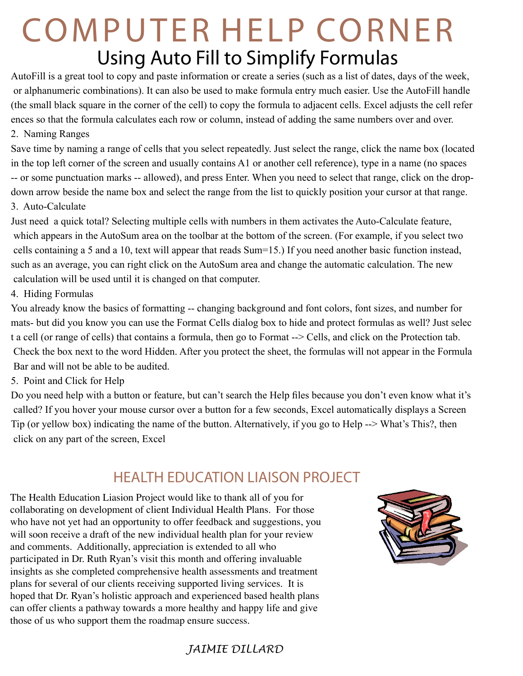## COMPUTER HELP CORNER  *Using Auto Fill to Simplify Formulas*

AutoFill is a great tool to copy and paste information or create a series (such as a list of dates, days of the week, or alphanumeric combinations). It can also be used to make formula entry much easier. Use the AutoFill handle (the small black square in the corner of the cell) to copy the formula to adjacent cells. Excel adjusts the cell refer ences so that the formula calculates each row or column, instead of adding the same numbers over and over.

#### 2. Naming Ranges

Save time by naming a range of cells that you select repeatedly. Just select the range, click the name box (located in the top left corner of the screen and usually contains A1 or another cell reference), type in a name (no spaces -- or some punctuation marks -- allowed), and press Enter. When you need to select that range, click on the dropdown arrow beside the name box and select the range from the list to quickly position your cursor at that range. 3. Auto-Calculate

Just need a quick total? Selecting multiple cells with numbers in them activates the Auto-Calculate feature, which appears in the AutoSum area on the toolbar at the bottom of the screen. (For example, if you select two cells containing a 5 and a 10, text will appear that reads Sum=15.) If you need another basic function instead, such as an average, you can right click on the AutoSum area and change the automatic calculation. The new calculation will be used until it is changed on that computer.

#### 4. Hiding Formulas

You already know the basics of formatting -- changing background and font colors, font sizes, and number for mats- but did you know you can use the Format Cells dialog box to hide and protect formulas as well? Just selec t a cell (or range of cells) that contains a formula, then go to Format --> Cells, and click on the Protection tab. Check the box next to the word Hidden. After you protect the sheet, the formulas will not appear in the Formula Bar and will not be able to be audited.

5. Point and Click for Help

Do you need help with a button or feature, but can't search the Help files because you don't even know what it's called? If you hover your mouse cursor over a button for a few seconds, Excel automatically displays a Screen Tip (or yellow box) indicating the name of the button. Alternatively, if you go to Help --> What's This?, then click on any part of the screen, Excel

### HEALTH EDUCATION LIAISON PROJECT

The Health Education Liasion Project would like to thank all of you for collaborating on development of client Individual Health Plans. For those who have not yet had an opportunity to offer feedback and suggestions, you will soon receive a draft of the new individual health plan for your review and comments. Additionally, appreciation is extended to all who participated in Dr. Ruth Ryan's visit this month and offering invaluable insights as she completed comprehensive health assessments and treatment plans for several of our clients receiving supported living services. It is hoped that Dr. Ryan's holistic approach and experienced based health plans can offer clients a pathway towards a more healthy and happy life and give those of us who support them the roadmap ensure success.



 *JAIMIE DILLARD*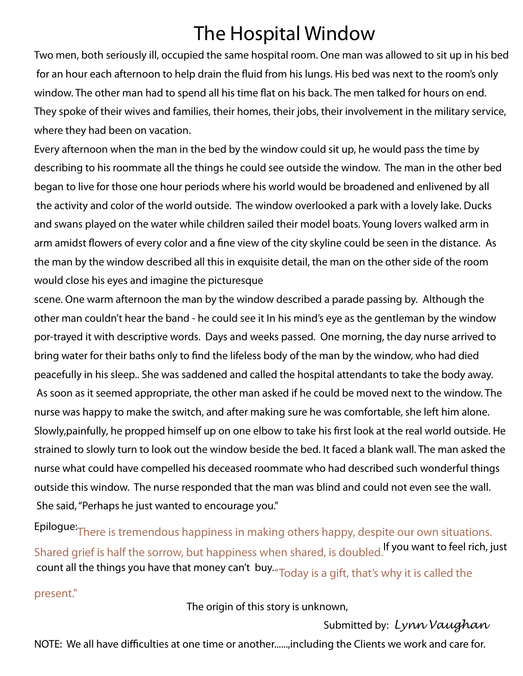## *The Hospital Window*

*Two men, both seriously ill, occupied the same hospital room. One man was allowed to sit up in his bed for an hour each afternoon to help drain the fluid from his lungs. His bed was next to the room's only window. The other man had to spend all his time flat on his back. The men talked for hours on end. They spoke of their wives and families, their homes, their jobs, their involvement in the military service, where they had been on vacation.*

*Every afternoon when the man in the bed by the window could sit up, he would pass the time by describing to his roommate all the things he could see outside the window. The man in the other bed began to live for those one hour periods where his world would be broadened and enlivened by all the activity and color of the world outside. The window overlooked a park with a lovely lake. Ducks*  and swans played on the water while children sailed their model boats. Young lovers walked arm in *arm amidst flowers of every color and a fine view of the city skyline could be seen in the distance. As the man by the window described all this in exquisite detail, the man on the other side of the room would close his eyes and imagine the picturesque*

*scene. One warm afternoon the man by the window described a parade passing by. Although the other man couldn't hear the band - he could see it In his mind's eye as the gentleman by the window por-trayed it with descriptive words. Days and weeks passed. One morning, the day nurse arrived to bring water for their baths only to find the lifeless body of the man by the window, who had died peacefully in his sleep.. She was saddened and called the hospital attendants to take the body away. As soon as it seemed appropriate, the other man asked if he could be moved next to the window. The nurse was happy to make the switch, and after making sure he was comfortable, she left him alone. Slowly,painfully, he propped himself up on one elbow to take his first look at the real world outside. He strained to slowly turn to look out the window beside the bed. It faced a blank wall. The man asked the nurse what could have compelled his deceased roommate who had described such wonderful things outside this window. The nurse responded that the man was blind and could not even see the wall. She said, "Perhaps he just wanted to encourage you."*

*Epilogue:*There is tremendous happiness in making others happy, despite our own situations. Shared grief is half the sorrow, but happiness when shared, is doubled.*If you want to feel rich, just count all the things you have that money can't buy.*"Today is a gift, that's why it is called the

present."

 *The origin of this story is unknown,*

#### *Submitted by: Lynn Vaughan*

*NOTE: We all have difficulties at one time or another......,including the Clients we work and care for.*